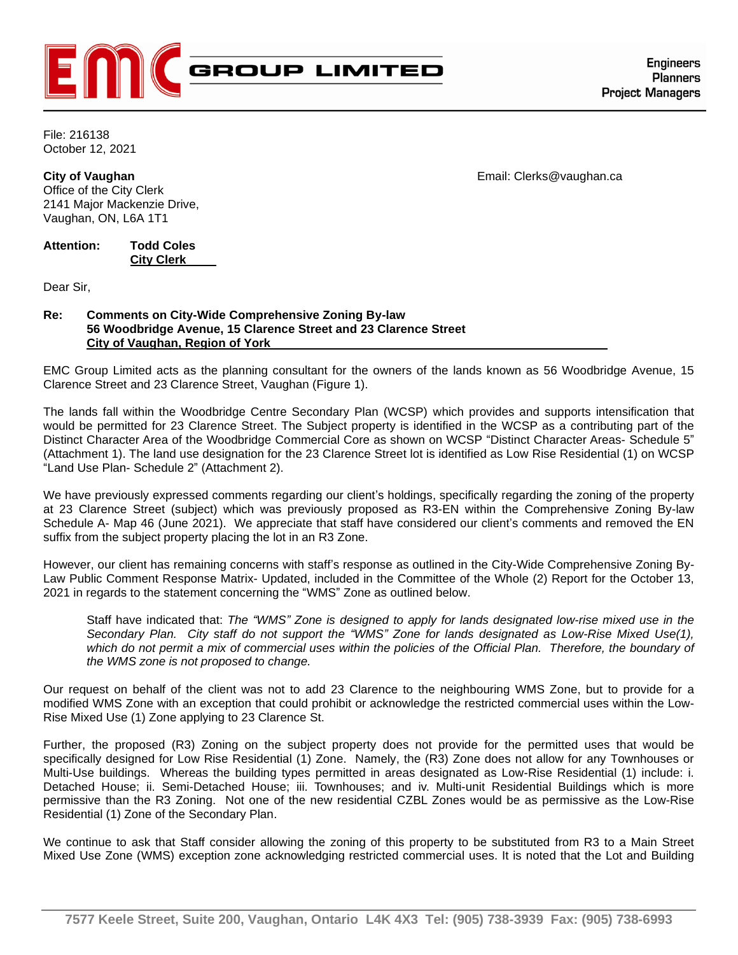

File: 216138 October 12, 2021

**City of Vaughan Community Community Community Community Community Community Community Community Community Community Community Community Community Community Community Community Community Community Community Community Com** Office of the City Clerk 2141 Major Mackenzie Drive, Vaughan, ON, L6A 1T1

**Attention: Todd Coles City Clerk** 

Dear Sir,

**COMMUNICATION C19 ITEM NO. 9 COMMITTEE OF THE WHOLE (2) October 13, 2021**

## **Re: Comments on City-Wide Comprehensive Zoning By-law 56 Woodbridge Avenue, 15 Clarence Street and 23 Clarence Street City of Vaughan, Region of York**

EMC Group Limited acts as the planning consultant for the owners of the lands known as 56 Woodbridge Avenue, 15 Clarence Street and 23 Clarence Street, Vaughan (Figure 1).

The lands fall within the Woodbridge Centre Secondary Plan (WCSP) which provides and supports intensification that would be permitted for 23 Clarence Street. The Subject property is identified in the WCSP as a contributing part of the Distinct Character Area of the Woodbridge Commercial Core as shown on WCSP "Distinct Character Areas- Schedule 5" (Attachment 1). The land use designation for the 23 Clarence Street lot is identified as Low Rise Residential (1) on WCSP "Land Use Plan- Schedule 2" (Attachment 2).

We have previously expressed comments regarding our client's holdings, specifically regarding the zoning of the property at 23 Clarence Street (subject) which was previously proposed as R3-EN within the Comprehensive Zoning By-law Schedule A- Map 46 (June 2021). We appreciate that staff have considered our client's comments and removed the EN suffix from the subject property placing the lot in an R3 Zone.

However, our client has remaining concerns with staff's response as outlined in the City-Wide Comprehensive Zoning By-Law Public Comment Response Matrix- Updated, included in the Committee of the Whole (2) Report for the October 13, 2021 in regards to the statement concerning the "WMS" Zone as outlined below.

Staff have indicated that: *The "WMS" Zone is designed to apply for lands designated low-rise mixed use in the Secondary Plan. City staff do not support the "WMS" Zone for lands designated as Low-Rise Mixed Use(1), which do not permit a mix of commercial uses within the policies of the Official Plan. Therefore, the boundary of the WMS zone is not proposed to change.*

Our request on behalf of the client was not to add 23 Clarence to the neighbouring WMS Zone, but to provide for a modified WMS Zone with an exception that could prohibit or acknowledge the restricted commercial uses within the Low-Rise Mixed Use (1) Zone applying to 23 Clarence St.

Further, the proposed (R3) Zoning on the subject property does not provide for the permitted uses that would be specifically designed for Low Rise Residential (1) Zone. Namely, the (R3) Zone does not allow for any Townhouses or Multi-Use buildings. Whereas the building types permitted in areas designated as Low-Rise Residential (1) include: i. Detached House; ii. Semi-Detached House; iii. Townhouses; and iv. Multi-unit Residential Buildings which is more permissive than the R3 Zoning. Not one of the new residential CZBL Zones would be as permissive as the Low-Rise Residential (1) Zone of the Secondary Plan.

We continue to ask that Staff consider allowing the zoning of this property to be substituted from R3 to a Main Street Mixed Use Zone (WMS) exception zone acknowledging restricted commercial uses. It is noted that the Lot and Building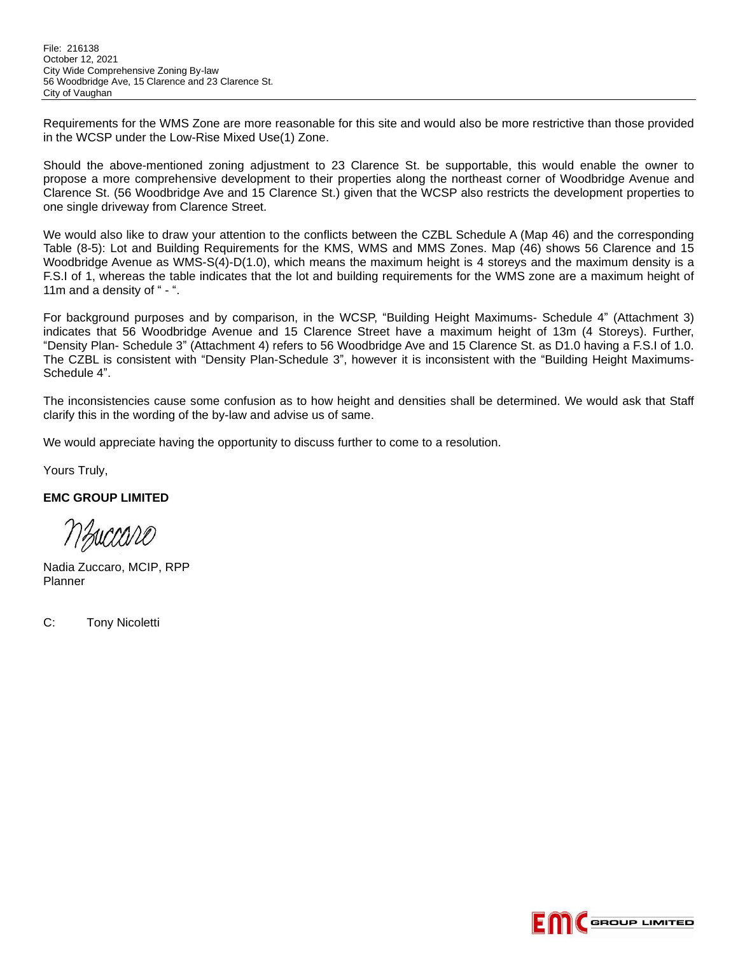Requirements for the WMS Zone are more reasonable for this site and would also be more restrictive than those provided in the WCSP under the Low-Rise Mixed Use(1) Zone.

Should the above-mentioned zoning adjustment to 23 Clarence St. be supportable, this would enable the owner to propose a more comprehensive development to their properties along the northeast corner of Woodbridge Avenue and Clarence St. (56 Woodbridge Ave and 15 Clarence St.) given that the WCSP also restricts the development properties to one single driveway from Clarence Street.

We would also like to draw your attention to the conflicts between the CZBL Schedule A (Map 46) and the corresponding Table (8-5): Lot and Building Requirements for the KMS, WMS and MMS Zones. Map (46) shows 56 Clarence and 15 Woodbridge Avenue as WMS-S(4)-D(1.0), which means the maximum height is 4 storeys and the maximum density is a F.S.I of 1, whereas the table indicates that the lot and building requirements for the WMS zone are a maximum height of 11m and a density of " - ".

For background purposes and by comparison, in the WCSP, "Building Height Maximums- Schedule 4" (Attachment 3) indicates that 56 Woodbridge Avenue and 15 Clarence Street have a maximum height of 13m (4 Storeys). Further, "Density Plan- Schedule 3" (Attachment 4) refers to 56 Woodbridge Ave and 15 Clarence St. as D1.0 having a F.S.I of 1.0. The CZBL is consistent with "Density Plan-Schedule 3", however it is inconsistent with the "Building Height Maximums-Schedule 4".

The inconsistencies cause some confusion as to how height and densities shall be determined. We would ask that Staff clarify this in the wording of the by-law and advise us of same.

We would appreciate having the opportunity to discuss further to come to a resolution.

Yours Truly,

**EMC GROUP LIMITED**

nzuccaro

Nadia Zuccaro, MCIP, RPP Planner

C: Tony Nicoletti

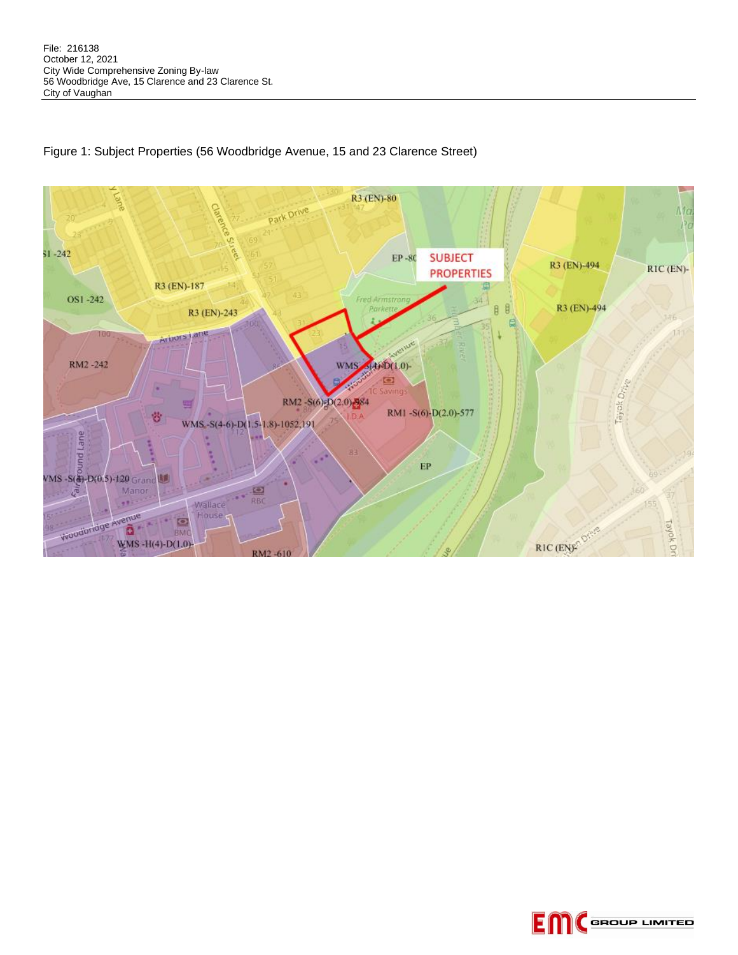

## Figure 1: Subject Properties (56 Woodbridge Avenue, 15 and 23 Clarence Street)

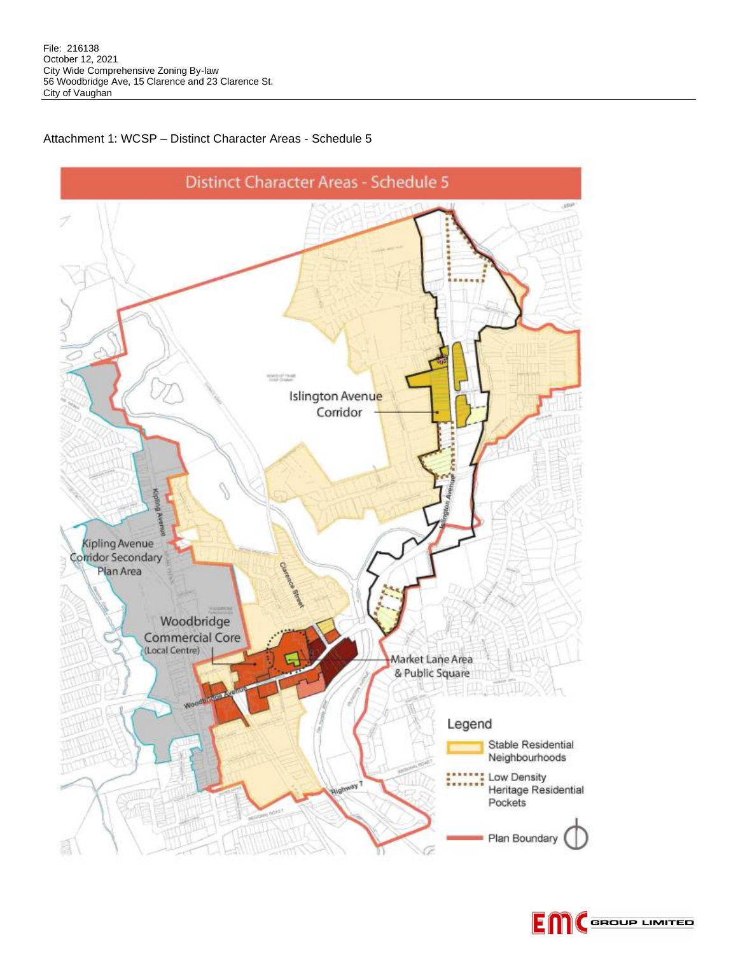

## Attachment 1: WCSP – Distinct Character Areas - Schedule 5

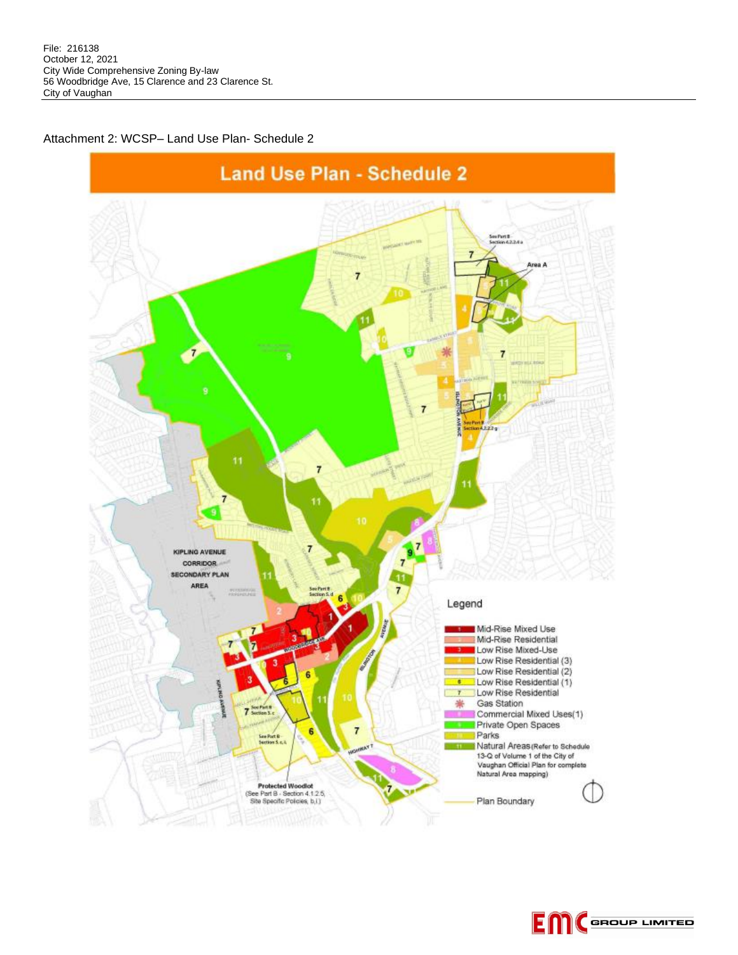Attachment 2: WCSP– Land Use Plan- Schedule 2



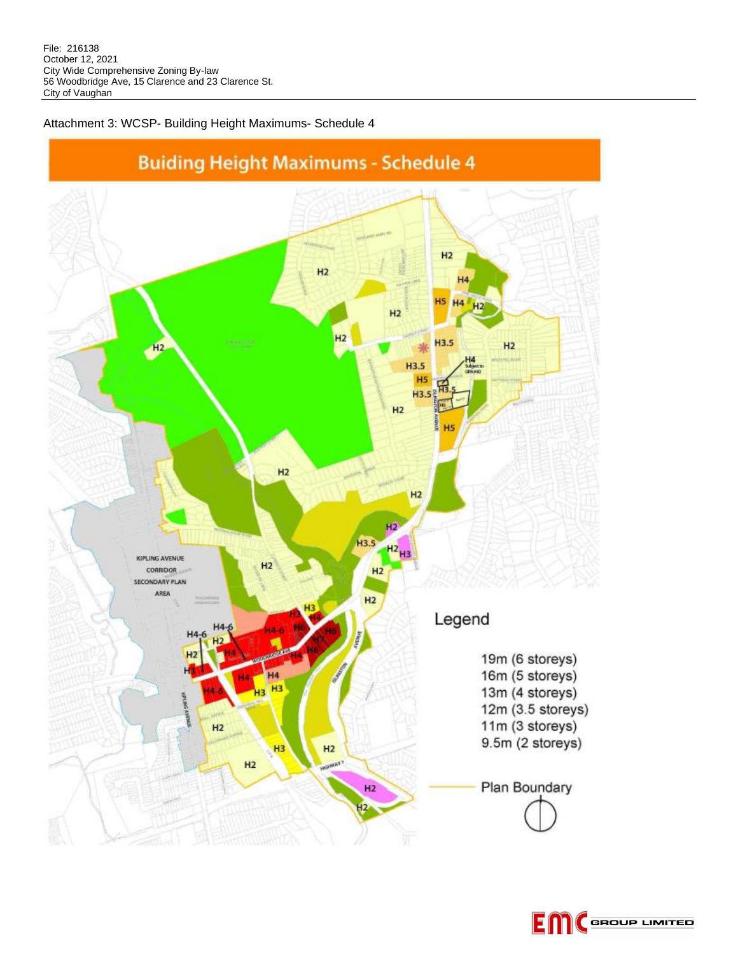